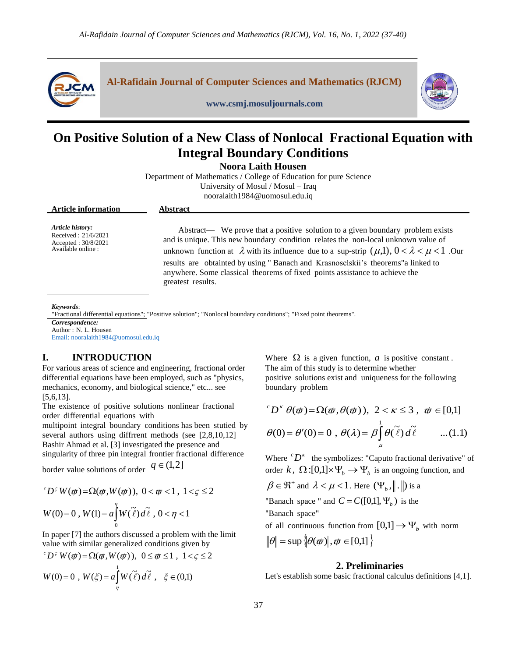

**Al-Rafidain Journal of Computer Sciences and Mathematics (RJCM)**



# **On Positive Solution of a New Class of Nonlocal Fractional Equation with Integral Boundary Conditions**

**www.csmj.mosuljournals.com**

**Noora Laith Housen** 

Department of Mathematics / College of Education for pure Science University of Mosul / Mosul – Iraq nooralaith1984@uomosul.edu.iq

| <b>Article information</b>                                                              | <b>Abstract</b>                                                                                                                                                                                                                                                                                                                                                                                                                                                              |
|-----------------------------------------------------------------------------------------|------------------------------------------------------------------------------------------------------------------------------------------------------------------------------------------------------------------------------------------------------------------------------------------------------------------------------------------------------------------------------------------------------------------------------------------------------------------------------|
| Article history:<br>Received: $21/6/2021$<br>Accepted: $30/8/2021$<br>Available online: | Abstract— We prove that a positive solution to a given boundary problem exists<br>and is unique. This new boundary condition relates the non-local unknown value of<br>unknown function at $\lambda$ with its influence due to a sup-strip $(\mu,1)$ , $0 < \lambda < \mu < 1$ . Our<br>results are obtainted by using "Banach and Krasnoselskii's theorems" a linked to<br>anywhere. Some classical theorems of fixed points assistance to achieve the<br>greatest results. |

*Keywords*:

"Fractional differential equations"; "Positive solution"; "Nonlocal boundary conditions"; "Fixed point theorems".

*Correspondence:* Author : N. L. Housen

Email: nooralaith1984@uomosul.edu.iq

### **I. INTRODUCTION**

For various areas of science and engineering, fractional order differential equations have been employed, such as "physics, mechanics, economy, and biological science," etc... see [5,6,13].

The existence of positive solutions nonlinear fractional order differential equations with

multipoint integral boundary conditions has been stutied by several authors using diffrrent methods (see  $[2,8,10,12]$ ) Bashir Ahmad et al. [3] investigated the presence and singularity of three-pin integral-frontier fractional-difference

border-value solutions of order  $q \in (1,2]$ 

$$
{}^{c}D^{c}W(\varpi)=\Omega(\varpi,W(\varpi)), 0 < \varpi < 1, 1 < \varsigma \leq 2
$$

$$
W(0) = 0, W(1) = a \int_{0}^{n} W(\tilde{\ell}) d\tilde{\ell}, 0 < \eta < 1
$$

In paper [7] the authors discussed a problem with the limit value with similar generalized conditions given by

$$
{}^{c}D^{c}W(\varpi) = \Omega(\varpi, W(\varpi)), \ 0 \leq \varpi \leq 1, \ 1 < \varsigma \leq 2
$$

$$
W(0) = 0 \, , \, W(\xi) = a \int_{\eta}^{1} W(\tilde{\ell}) \, d\tilde{\ell} \, , \, \xi \in (0,1)
$$

Where  $\Omega$  is a given function, a is positive constant. The aim of this study is to determine whether positive solutions exist and uniqueness for the following boundary problem

$$
{}^{c}D^{\kappa} \theta(\varpi) = \Omega(\varpi, \theta(\varpi)), \ 2 < \kappa \leq 3, \ \varpi \in [0,1]
$$
\n
$$
\theta(0) = \theta'(0) = 0, \ \theta(\lambda) = \beta \int_{0}^{1} \theta(\tilde{\ell}) d\tilde{\ell} \qquad \dots (1.1)
$$

Where  ${}^{c}D^{\kappa}$  the symbolizes: "Caputo fractional derivative" of order  $k$ ,  $\Omega$ :[0,1] $\times \Psi_b \rightarrow \Psi_b$  is an ongoing function, and

 $_{\mu}$ 

 $\beta \in \mathfrak{R}^+$  and  $\lambda < \mu < 1$ . Here  $(\Psi_{\beta}, \|\, \cdot \|)$  is a

"Banach space " and  $C = C([0,1], \Psi_b)$  is the "Banach space"

of all continuous function from  $[0,1] \rightarrow \Psi_b$  with norm

$$
\|\theta\| = \sup \{|\theta(\phi)|, \phi \in [0,1]\}
$$

### **2. Preliminaries**

Let's establish some basic fractional calculus definitions [4,1].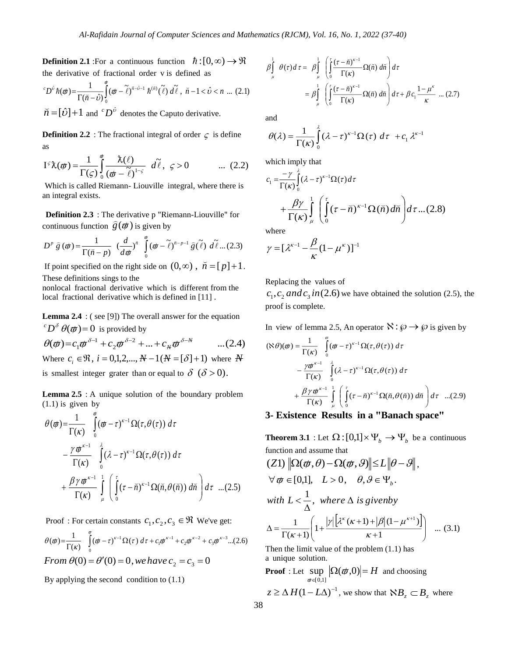**Definition 2.1** : For a continuous function  $\hbar$  :  $[0,\infty) \rightarrow \Re$ the derivative of fractional order v is defined as

$$
{}^{c}D^{\hat{b}}\hbar(\varpi) = \frac{1}{\Gamma(\tilde{n}-\hat{b})} \int_{0}^{\varpi} (\varpi - \tilde{\ell})^{\tilde{n}-\hat{b}-1} \hbar^{(\tilde{n})} (\tilde{\ell}) d\tilde{\ell}, \ \tilde{n}-1 < \hat{b} < n \ \dots \ (2.1)
$$
  
\n
$$
\tilde{n} = [\hat{b}] + 1 \ \text{and} \ {}^{c}D^{\hat{b}} \text{ denotes the Caputo derivative.}
$$

**Definition 2.2** : The fractional integral of order  $\zeta$  is define as

$$
I^{\varsigma}\lambda(\boldsymbol{\phi}) = \frac{1}{\Gamma(\varsigma)} \int_{0}^{\boldsymbol{\phi}} \frac{\lambda(\ell)}{(\boldsymbol{\phi} - \tilde{\ell})^{1-\varsigma}} d\tilde{\ell}, \ \varsigma > 0 \qquad \dots \ (2.2)
$$

Which is called Riemann-Liouville integral, where there is an integral exists.

**Definition 2.3** : The derivative p "Riemann-Liouville" for continuous function  $\hat{g}(\boldsymbol{\phi})$  is given by

$$
D^p \tilde{g}(\boldsymbol{\phi}) = \frac{1}{\Gamma(\tilde{n} - p)} \left(\frac{d}{d\boldsymbol{\phi}}\right)^{\tilde{n}} \int_{0}^{\tilde{\phi}} (\boldsymbol{\phi} - \tilde{\ell})^{\tilde{n} - p - 1} \tilde{g}(\tilde{\ell}) d\tilde{\ell} \dots (2.3)
$$

If point specified on the right side on  $(0, \infty)$ ,  $\breve{n} = [p]+1$ . These definitions sings to the

nonlocal fractional derivative which is different from the local fractional derivative which is defined in [11].

**Lemma 2.4** :  $($  see [9]) The overall answer for the equation  ${}^{c}D^{\delta}\theta(\varphi)=0$  is provided by

 $\theta(\boldsymbol{\phi}) = c_1 \boldsymbol{\phi}^{\delta - 1} + c_2 \boldsymbol{\phi}^{\delta - 2} + \ldots + c_m \boldsymbol{\phi}^{\delta - N}$  $...(2.4)$ Where  $c_i \in \mathfrak{R}$ ,  $i = 0,1,2,..., N - 1(N = [\delta] + 1)$  where N is smallest integer grater than or equal to  $\delta$  ( $\delta > 0$ ).

**Lemma 2.5** : A unique solution of the boundary problem  $(1.1)$  is given by

$$
\theta(\boldsymbol{\phi}) = \frac{1}{\Gamma(\kappa)} \int_{0}^{\pi} (\boldsymbol{\phi} - \tau)^{\kappa - 1} \Omega(\tau, \theta(\tau)) d\tau \n- \frac{\gamma \boldsymbol{\phi}^{\kappa - 1}}{\Gamma(\kappa)} \int_{0}^{\lambda} (\lambda - \tau)^{\kappa - 1} \Omega(\tau, \theta(\tau)) d\tau \n+ \frac{\beta \gamma \boldsymbol{\phi}^{\kappa - 1}}{\Gamma(\kappa)} \int_{\mu}^1 \left( \int_{0}^{\tau} (\tau - \breve{n})^{\kappa - 1} \Omega(\breve{n}, \theta(\breve{n})) d\breve{n} \right) d\tau \dots (2.5)
$$

Proof: For certain constants  $c_1, c_2, c_3 \in \mathbb{R}$  We've get:

$$
\theta(\phi) = \frac{1}{\Gamma(\kappa)} \int_{0}^{\pi} (\phi - \tau)^{\kappa - 1} \Omega(\tau) d\tau + c_1 \phi^{\kappa - 1} + c_2 \phi^{\kappa - 2} + c_3 \phi^{\kappa - 3}...(2.6)
$$
  
From  $\theta(0) = \theta'(0) = 0$ , we have  $c_2 = c_3 = 0$ 

By applying the second condition to  $(1.1)$ 

$$
\beta \int_{\mu}^{1} \theta(\tau) d\tau = \beta \int_{\mu}^{1} \left( \int_{0}^{\tau} \frac{(\tau - \breve{n})^{\kappa - 1}}{\Gamma(\kappa)} \Omega(\breve{n}) d\breve{n} \right) d\tau
$$

$$
= \beta \int_{\mu}^{1} \left( \int_{0}^{\tau} \frac{(\tau - \breve{n})^{\kappa - 1}}{\Gamma(\kappa)} \Omega(\breve{n}) d\breve{n} \right) d\tau + \beta c_1 \frac{1 - \mu^{\kappa}}{\kappa} \dots (2.7)
$$

and

$$
\theta(\lambda) = \frac{1}{\Gamma(\kappa)} \int_{0}^{\lambda} (\lambda - \tau)^{\kappa - 1} \Omega(\tau) d\tau + c_1 \lambda^{\kappa - 1}
$$

which imply that

$$
c_1 = \frac{-\gamma}{\Gamma(\kappa)} \int_0^{\tau} (\lambda - \tau)^{\kappa - 1} \Omega(\tau) d\tau
$$
  
+ 
$$
\frac{\beta \gamma}{\Gamma(\kappa)} \int_{\mu}^1 \left( \int_0^{\tau} (\tau - \breve{n})^{\kappa - 1} \Omega(\breve{n}) d\breve{n} \right) d\tau ... (2.8)
$$

where

$$
\gamma = [\lambda^{\kappa-1} - \frac{\beta}{\kappa} (1 - \mu^{\kappa})]^{-1}
$$

Replacing the values of

 $c_1, c_2$  and  $c_3$  in (2.6) we have obtained the solution (2.5), the proof is complete.

In view of lemma 2.5, An operator  $\aleph : \wp \to \wp$  is given by

$$
(\aleph \theta)(\phi) = \frac{1}{\Gamma(\kappa)} \int_{0}^{\pi} (\phi - \tau)^{\kappa - 1} \Omega(\tau, \theta(\tau)) d\tau
$$
  

$$
- \frac{\gamma \phi^{\kappa - 1}}{\Gamma(\kappa)} \int_{0}^{\lambda} (\lambda - \tau)^{\kappa - 1} \Omega(\tau, \theta(\tau)) d\tau
$$
  

$$
+ \frac{\beta \gamma \phi^{\kappa - 1}}{\Gamma(\kappa)} \int_{\mu}^{1} \left( \int_{0}^{\tau} (\tau - \breve{n})^{\kappa - 1} \Omega(\breve{n}, \theta(\breve{n})) d\breve{n} \right) d\tau \dots (2.9)
$$

### 3- Existence Results in a "Banach space"

**Theorem 3.1** : Let  $\Omega$  :  $[0,1] \times \Psi_b \to \Psi_b$  be a continuous function and assume that

$$
(Z1) \|\Omega(\varphi, \theta) - \Omega(\varphi, \vartheta)\| \le L \|\theta - \vartheta\|,
$$
  
\n
$$
\forall \varphi \in [0,1], \quad L > 0, \quad \theta, \vartheta \in \Psi_b.
$$
  
\nwith  $L < \frac{1}{\Delta}$ , where  $\Delta$  is given by  
\n
$$
\Delta = \frac{1}{\Gamma(\kappa + 1)} \left( 1 + \frac{|\gamma| \left[ \lambda^{\kappa} (\kappa + 1) + |\beta| (1 - \mu^{\kappa + 1}) \right]}{\kappa + 1} \right) \dots (3.1)
$$

Then the limit value of the problem  $(1.1)$  has a unique solution.

**Proof** : Let 
$$
\sup_{\phi \in [0,1]} |\Omega(\phi,0)| = H
$$
 and choosing  
 $z \ge \Delta H (1 - L\Delta)^{-1}$ , we show that  $\aleph B_z \subset B_z$  where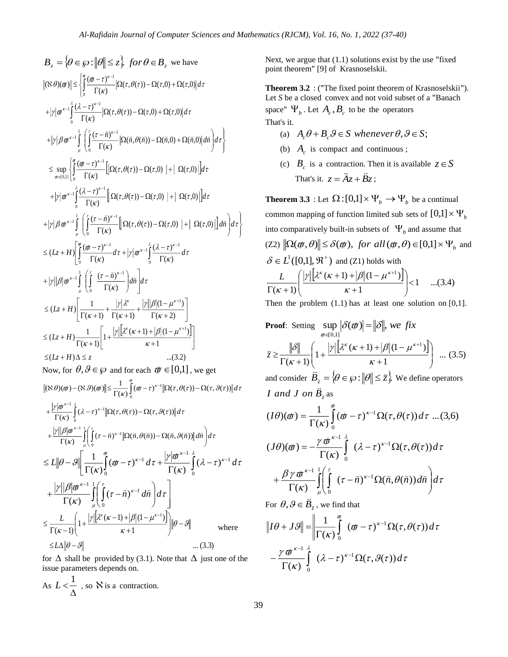$$
B_z = \left\{\theta \in \mathcal{G} : ||\theta|| \leq z\right\} \text{ for } \theta \in B_z \text{ we have}
$$
\n
$$
||\mathcal{R}(\theta)||\theta|| \leq \int_0^{\pi} \frac{(\theta - \tau)^{s-1}}{(\Gamma(k))} |\Omega(\tau, \theta(\tau)) - \Omega(\tau, 0) + \Omega(\tau, 0)| d\tau
$$
\n
$$
+ |\gamma| \theta^{\pi-1} \int_0^{\frac{1}{2}} \frac{(\lambda - \tau)^{s-1}}{\Gamma(k)} |\Omega(\tau, \theta(\tau)) - \Omega(\tau, 0) + \Omega(\tau, 0)| d\tau
$$
\n
$$
+ |\gamma| \theta^{\pi-1} \int_0^1 \left( \frac{(\tau - \bar{\eta})^{s-1}}{\Gamma(k)} |\Omega(\bar{\eta}, \theta(\bar{\eta})) - \Omega(\bar{\eta}, 0) + \Omega(\bar{\eta}, 0)| d\bar{\eta} \right) d\tau \right\}
$$
\n
$$
\leq \sup_{\theta \in [0,1]} \left\{ \int_0^{\pi} \frac{(\theta - \tau)^{s-1}}{\Gamma(k)} [\Omega(\tau, \theta(\tau)) - \Omega(\tau, 0) + |\Omega(\tau, 0)|] d\tau
$$
\n
$$
+ |\gamma| \theta^{\pi-1} \int_0^1 \left( \frac{(\lambda - \tau)^{s-1}}{\Gamma(k)} [\Omega(\tau, \theta(\tau)) - \Omega(\tau, 0) + |\Omega(\tau, 0)|] d\tau \right\}
$$
\n
$$
+ |\gamma| \theta^{\pi-1} \int_0^1 \left( \int_0^{\frac{1}{2}} \frac{(\tau - \bar{\eta})^{s-1}}{\Gamma(k)} [\Omega(\tau, \theta(\tau)) - \Omega(\tau, 0) + |\Omega(\tau, 0)|] d\bar{\eta} \right) d\tau \right\}
$$
\n
$$
\leq (Lz + H) \left[ \int_0^{\frac{1}{2}} \frac{(\theta - \tau)^{s-1}}{\Gamma(k)} d\tau + |\gamma| \theta^{s-1} \int_0^{\frac{1}{2}} \frac{(\lambda - \tau)^{s-1}}{\Gamma(k)} d\tau
$$
\n
$$
+ |\gamma| |\theta |\theta^{s-1} \int_0^1 \left( \int_0^{\frac{1}{2}} \frac{(\tau - \bar{\eta})^{s-1}}{\Gamma(k)} \right) d\
$$

for  $\Delta$  shall be provided by (3.1). Note that  $\Delta$  just one of the issue parameters depends on.

As 
$$
L < \frac{1}{\Delta}
$$
, so  $\aleph$  is a contraction.

Next, we argue that (1.1) solutions exist by the use "fixed point theorem" [9] of Krasnoselskii.

Theorem 3.2 : ("The fixed point theorem of Krasnoselskii"). Let *S* be a closed convex and not void subset of a "Banach" space"  $\Psi_b$ . Let  $A_c$ ,  $B_c$  to be the operators That's it.

- (a)  $A_c \theta + B_c \theta \in S$  whenever  $\theta, \theta \in S$ ;
- (b)  $A_c$  is compact and continuous;
- (c)  $B_c$  is a contraction. Then it is available  $z \in S$ That's it.  $z = \ddot{A}z + \ddot{B}z$ ;

**Theorem 3.3** : Let  $\Omega$  :  $[0,1] \times \Psi_b \to \Psi_b$  be a continual common mapping of function limited sub-sets of  $[0,1] \times \Psi_b$ into comparatively built-in subsets of  $\Psi_b$  and assume that  $(Z2)$   $\|\Omega(\varpi, \theta)\| \leq \delta(\varpi)$ , *for all* $(\varpi, \theta) \in [0,1] \times \Psi_b$  and  $\delta \in L^1([0,1], \mathfrak{R}^+)$  and (Z1) holds with  $\left[\lambda^{\kappa}(\kappa+1)+|\beta|(1-\mu^{\kappa+1})\right]<1$  ...(3.4)  $(\kappa + 1) + |\beta| (1 - \mu^{\kappa+1})$  $(\kappa+1)$ 1  $\,<$ J Г  $\overline{\phantom{a}}$ l ſ  $\mathrm{+}$ + 1) + 1*8* 1 (1 –  $\Gamma(\kappa + )$  $\hskip 0.025cm +$ к  $|\gamma| |\lambda^{\kappa}(\kappa+1)+|\beta| (1-\mu)$ к  $L \qquad |\gamma| |\lambda^k (\kappa + 1) + |\beta| (1 - \mu^k)$ 

Then the problem  $(1.1)$  has at least one solution on  $[0,1]$ .

**Proof:** Setting 
$$
\sup_{\phi \in [0,1]} |\delta(\phi)| = ||\delta||
$$
, we fix  

$$
\overline{z} \ge \frac{||\delta||}{\Gamma(\kappa+1)} \left(1 + \frac{|\gamma| [\lambda^{\kappa}(\kappa+1) + |\beta| (1 - \mu^{\kappa+1})]}{\kappa+1} \right) \dots (3.5)
$$

and consider  $\ddot{B}_{\bar{z}} = \{ \theta \in \wp : ||\theta|| \leq \bar{z} \}$ . We define operators *I* and *J* on  $\ddot{B}_{\bar{z}}$  as

$$
(I\theta)(\varpi) = \frac{1}{\Gamma(\kappa)} \int_{0}^{\varpi} (\varpi - \tau)^{\kappa - 1} \Omega(\tau, \theta(\tau)) d\tau ... (3,6)
$$

$$
(J\theta)(\varpi) = -\frac{\gamma \varpi^{\kappa - 1}}{\Gamma(\kappa)} \int_{0}^{\lambda} (\lambda - \tau)^{\kappa - 1} \Omega(\tau, \theta(\tau)) d\tau
$$

$$
+ \frac{\beta \gamma \varpi^{\kappa - 1}}{\Gamma(\kappa)} \int_{\mu}^{\tau} \left( \int_{0}^{\tau} (\tau - \breve{n})^{\kappa - 1} \Omega(\breve{n}, \theta(\breve{n})) d\breve{n} \right) d\tau
$$

For  $\theta$ ,  $\theta \in \ddot{B}_{\bar{z}}$ , we find that

$$
\|I\theta + J\theta\| = \left\|\frac{1}{\Gamma(\kappa)}\int_{0}^{\pi} (\varpi - \tau)^{\kappa - 1} \Omega(\tau, \theta(\tau)) d\tau - \frac{\gamma \varpi^{\kappa - 1}}{\Gamma(\kappa)} \int_{0}^{\lambda} (\lambda - \tau)^{\kappa - 1} \Omega(\tau, \theta(\tau)) d\tau\right\|
$$